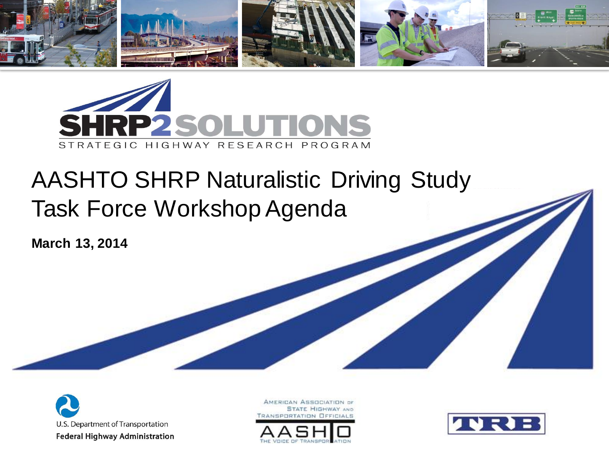



#### AASHTO SHRP Naturalistic Driving Study Task Force Workshop Agenda

**March 13, 2014** 



AMERICAN ASSOCIATION OF **STATE HIGHWAY AND** *FRANSPORTATION OFFICIALS* 



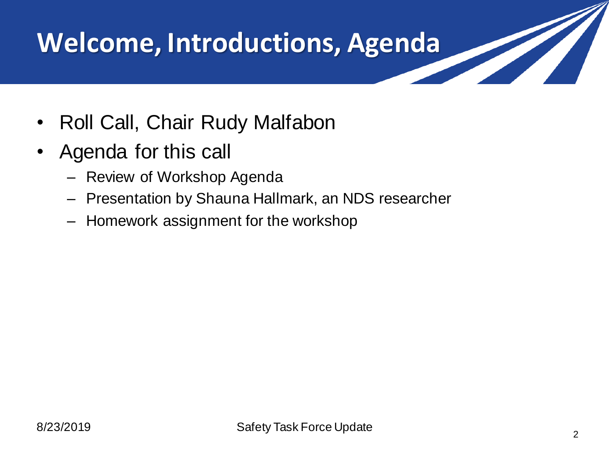## **Welcome, Introductions, Agenda**

- Roll Call, Chair Rudy Malfabon
- Agenda for this call
	- Review of Workshop Agenda
	- Presentation by Shauna Hallmark, an NDS researcher
	- Homework assignment for the workshop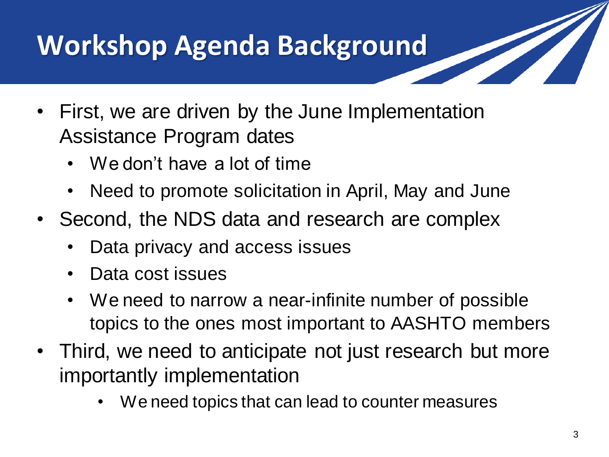# **Workshop Agenda Background**

- First, we are driven by the June Implementation Assistance Program dates
	- We don't have a lot of time
	- Need to promote solicitation in April, May and June
- Second, the NDS data and research are complex
	- Data privacy and access issues
	- Data cost issues
	- We need to narrow a near-infinite number of possible topics to the ones most important to AASHTO members
- Third, we need to anticipate not just research but more importantly implementation
	- We need topics that can lead to counter measures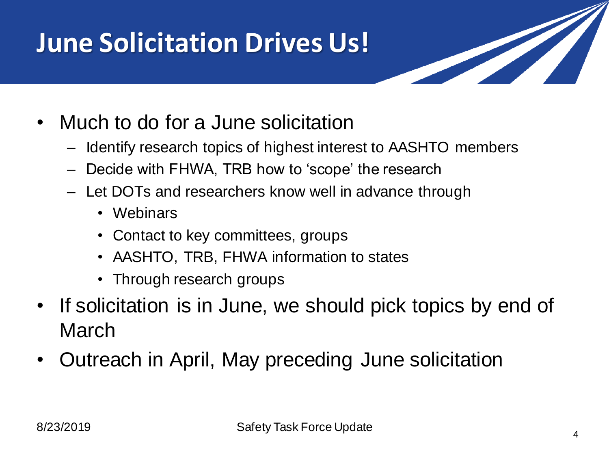### **June Solicitation Drives Us!**

- Much to do for a June solicitation
	- Identify research topics of highest interest to AASHTO members
	- Decide with FHWA, TRB how to 'scope' the research
	- Let DOTs and researchers know well in advance through
		- Webinars
		- Contact to key committees, groups
		- AASHTO, TRB, FHWA information to states
		- Through research groups
- If solicitation is in June, we should pick topics by end of March
- Outreach in April, May preceding June solicitation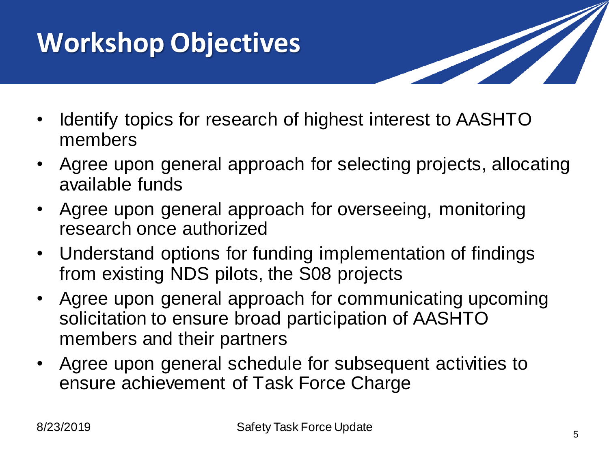# **Workshop Objectives**



- Identify topics for research of highest interest to AASHTO members
- Agree upon general approach for selecting projects, allocating available funds
- Agree upon general approach for overseeing, monitoring research once authorized
- Understand options for funding implementation of findings from existing NDS pilots, the S08 projects
- Agree upon general approach for communicating upcoming solicitation to ensure broad participation of AASHTO members and their partners
- Agree upon general schedule for subsequent activities to ensure achievement of Task Force Charge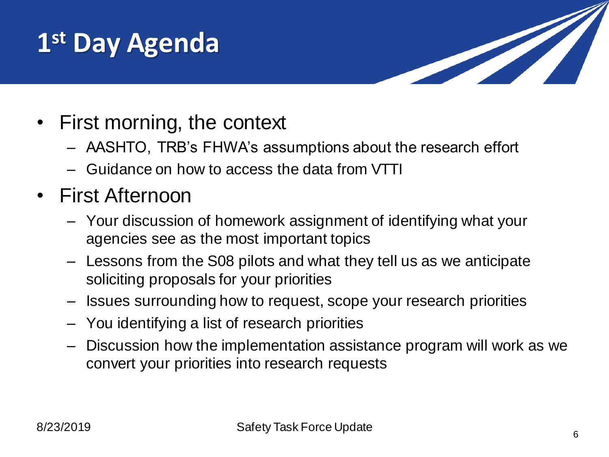### **1 st Day Agenda**



- First morning, the context
	- AASHTO, TRB's FHWA's assumptions about the research effort
	- Guidance on how to access the data from VTTI
- First Afternoon
	- Your discussion of homework assignment of identifying what your agencies see as the most important topics
	- Lessons from the S08 pilots and what they tell us as we anticipate soliciting proposals for your priorities
	- Issues surrounding how to request, scope your research priorities
	- You identifying a list of research priorities
	- Discussion how the implementation assistance program will work as we convert your priorities into research requests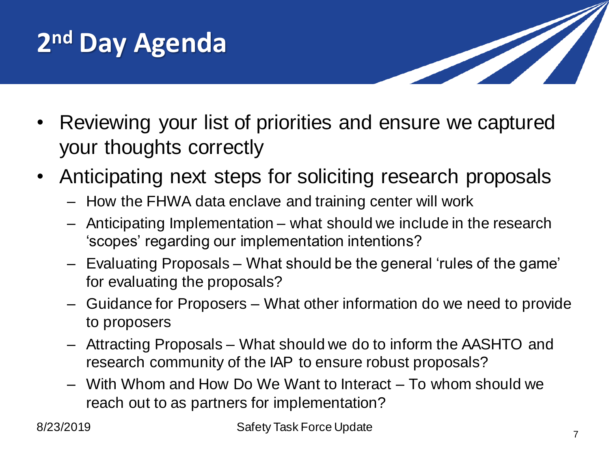



- Reviewing your list of priorities and ensure we captured your thoughts correctly
- Anticipating next steps for soliciting research proposals
	- How the FHWA data enclave and training center will work
	- Anticipating Implementation what should we include in the research 'scopes' regarding our implementation intentions?
	- Evaluating Proposals What should be the general 'rules of the game' for evaluating the proposals?
	- Guidance for Proposers What other information do we need to provide to proposers
	- Attracting Proposals What should we do to inform the AASHTO and research community of the IAP to ensure robust proposals?
	- With Whom and How Do We Want to Interact To whom should we reach out to as partners for implementation?